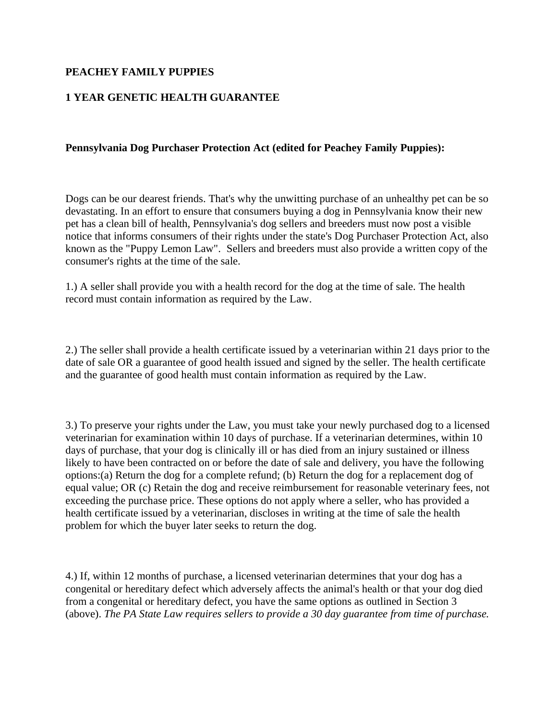## **PEACHEY FAMILY PUPPIES**

## **1 YEAR GENETIC HEALTH GUARANTEE**

## **Pennsylvania Dog Purchaser Protection Act (edited for Peachey Family Puppies):**

Dogs can be our dearest friends. That's why the unwitting purchase of an unhealthy pet can be so devastating. In an effort to ensure that consumers buying a dog in Pennsylvania know their new pet has a clean bill of health, Pennsylvania's dog sellers and breeders must now post a visible notice that informs consumers of their rights under the state's Dog Purchaser Protection Act, also known as the "Puppy Lemon Law". Sellers and breeders must also provide a written copy of the consumer's rights at the time of the sale.

1.) A seller shall provide you with a health record for the dog at the time of sale. The health record must contain information as required by the Law.

2.) The seller shall provide a health certificate issued by a veterinarian within 21 days prior to the date of sale OR a guarantee of good health issued and signed by the seller. The health certificate and the guarantee of good health must contain information as required by the Law.

3.) To preserve your rights under the Law, you must take your newly purchased dog to a licensed veterinarian for examination within 10 days of purchase. If a veterinarian determines, within 10 days of purchase, that your dog is clinically ill or has died from an injury sustained or illness likely to have been contracted on or before the date of sale and delivery, you have the following options:(a) Return the dog for a complete refund; (b) Return the dog for a replacement dog of equal value; OR (c) Retain the dog and receive reimbursement for reasonable veterinary fees, not exceeding the purchase price. These options do not apply where a seller, who has provided a health certificate issued by a veterinarian, discloses in writing at the time of sale the health problem for which the buyer later seeks to return the dog.

4.) If, within 12 months of purchase, a licensed veterinarian determines that your dog has a congenital or hereditary defect which adversely affects the animal's health or that your dog died from a congenital or hereditary defect, you have the same options as outlined in Section 3 (above). *The PA State Law requires sellers to provide a 30 day guarantee from time of purchase.*